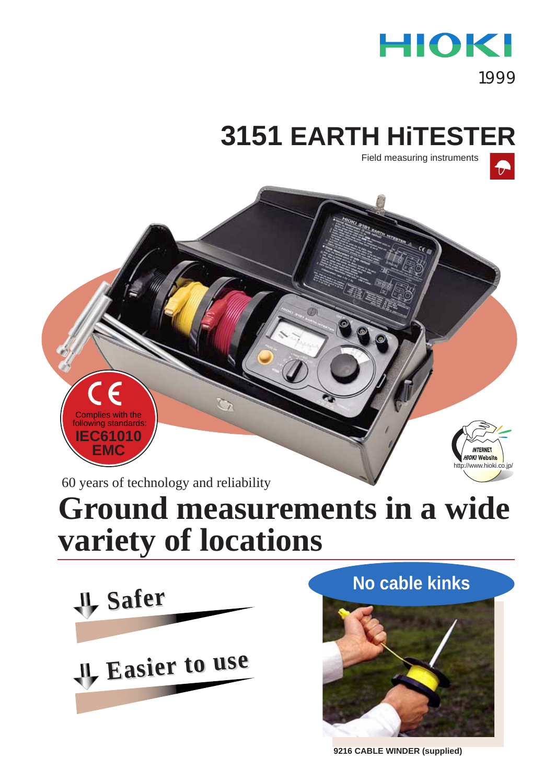

1999

 $\bigtriangledown$ 

# **3151 EARTH HiTESTER**

Field measuring instruments



60 years of technology and reliability

# **Ground measurements in a wide variety of locations**



**No cable kinks**



**9216 CABLE WINDER (supplied)**